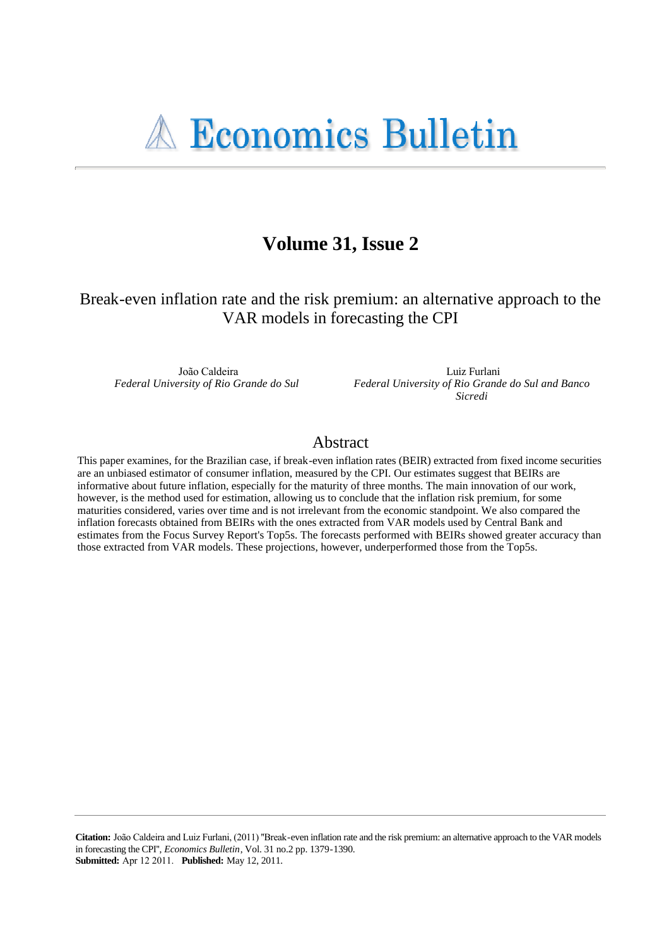# Volume 31, Issue 2

Break-even inflation rate and the risk premium: an alternative approach to the VAR models in forecasting the CPI

João Caldeira Federal University of Rio Grande do Sul

Luiz Furlani Federal University of Rio Grande do Sul and Banco Sicredi

# Abstract

This paper examines, for the Brazilian case, if break-even inflation rates (BEIR) extracted from fixed income securities are an unbiased estimator of consumer inflation, measured by the CPI. Our estimates suggest that BEIRs are informative about future inflation, especially for the maturity of three months. The main innovation of our work, however, is the method used for estimation, allowing us to conclude that the inflation risk premium, for some maturities considered, varies over time and is not irrelevant from the economic standpoint. We also compared the inflation forecasts obtained from BEIRs with the ones extracted from VAR models used by Central Bank and estimates from the Focus Survey Report's Top5s. The forecasts performed with BEIRs showed greater accuracy than those extracted from VAR models. These projections, however, underperformed those from the Top5s.

Citation: João Caldeira and Luiz Furlani, (2011) "Break-even inflation rate and the risk premium: an alternative approach to the VAR models in forecasting the CPI", *Economics Bulletin*, Vol. 31 no.2 pp. 1379-1390. **Submitted:** Apr 12 2011. **Published:** May 12, 2011.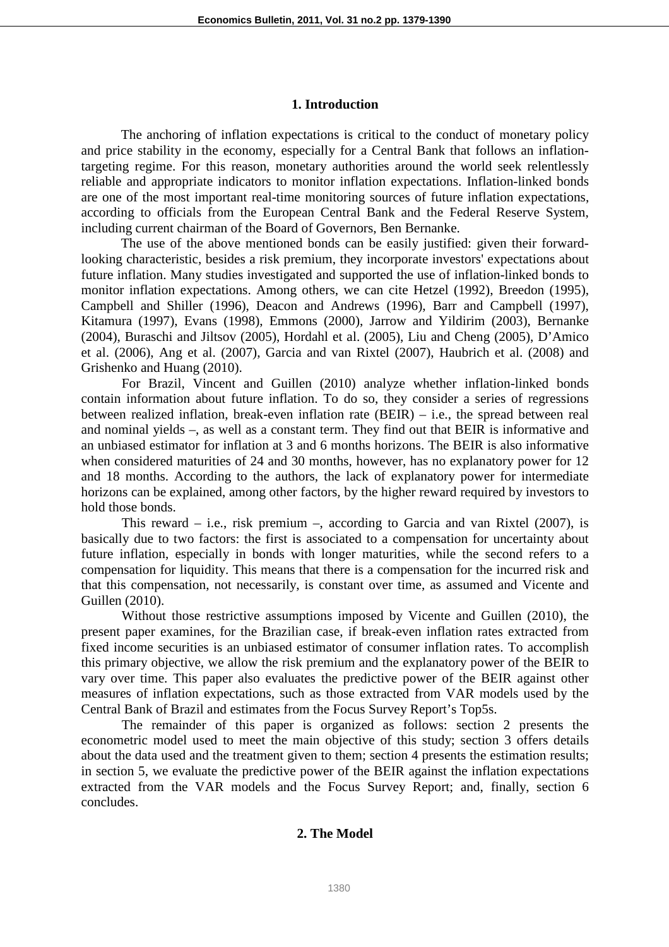#### **1. Introduction**

The anchoring of inflation expectations is critical to the conduct of monetary policy and price stability in the economy, especially for a Central Bank that follows an inflationtargeting regime. For this reason, monetary authorities around the world seek relentlessly reliable and appropriate indicators to monitor inflation expectations. Inflation-linked bonds are one of the most important real-time monitoring sources of future inflation expectations, according to officials from the European Central Bank and the Federal Reserve System, including current chairman of the Board of Governors, Ben Bernanke.

The use of the above mentioned bonds can be easily justified: given their forwardlooking characteristic, besides a risk premium, they incorporate investors' expectations about future inflation. Many studies investigated and supported the use of inflation-linked bonds to monitor inflation expectations. Among others, we can cite Hetzel (1992), Breedon (1995), Campbell and Shiller (1996), Deacon and Andrews (1996), Barr and Campbell (1997), Kitamura (1997), Evans (1998), Emmons (2000), Jarrow and Yildirim (2003), Bernanke (2004), Buraschi and Jiltsov (2005), Hordahl et al. (2005), Liu and Cheng (2005), D'Amico et al. (2006), Ang et al. (2007), Garcia and van Rixtel (2007), Haubrich et al. (2008) and Grishenko and Huang (2010).

 For Brazil, Vincent and Guillen (2010) analyze whether inflation-linked bonds contain information about future inflation. To do so, they consider a series of regressions between realized inflation, break-even inflation rate (BEIR) – i.e., the spread between real and nominal yields –, as well as a constant term. They find out that BEIR is informative and an unbiased estimator for inflation at 3 and 6 months horizons. The BEIR is also informative when considered maturities of 24 and 30 months, however, has no explanatory power for 12 and 18 months. According to the authors, the lack of explanatory power for intermediate horizons can be explained, among other factors, by the higher reward required by investors to hold those bonds.

This reward – i.e., risk premium –, according to Garcia and van Rixtel  $(2007)$ , is basically due to two factors: the first is associated to a compensation for uncertainty about future inflation, especially in bonds with longer maturities, while the second refers to a compensation for liquidity. This means that there is a compensation for the incurred risk and that this compensation, not necessarily, is constant over time, as assumed and Vicente and Guillen (2010).

Without those restrictive assumptions imposed by Vicente and Guillen (2010), the present paper examines, for the Brazilian case, if break-even inflation rates extracted from fixed income securities is an unbiased estimator of consumer inflation rates. To accomplish this primary objective, we allow the risk premium and the explanatory power of the BEIR to vary over time. This paper also evaluates the predictive power of the BEIR against other measures of inflation expectations, such as those extracted from VAR models used by the Central Bank of Brazil and estimates from the Focus Survey Report's Top5s.

The remainder of this paper is organized as follows: section 2 presents the econometric model used to meet the main objective of this study; section 3 offers details about the data used and the treatment given to them; section 4 presents the estimation results; in section 5, we evaluate the predictive power of the BEIR against the inflation expectations extracted from the VAR models and the Focus Survey Report; and, finally, section 6 concludes.

# **2. The Model**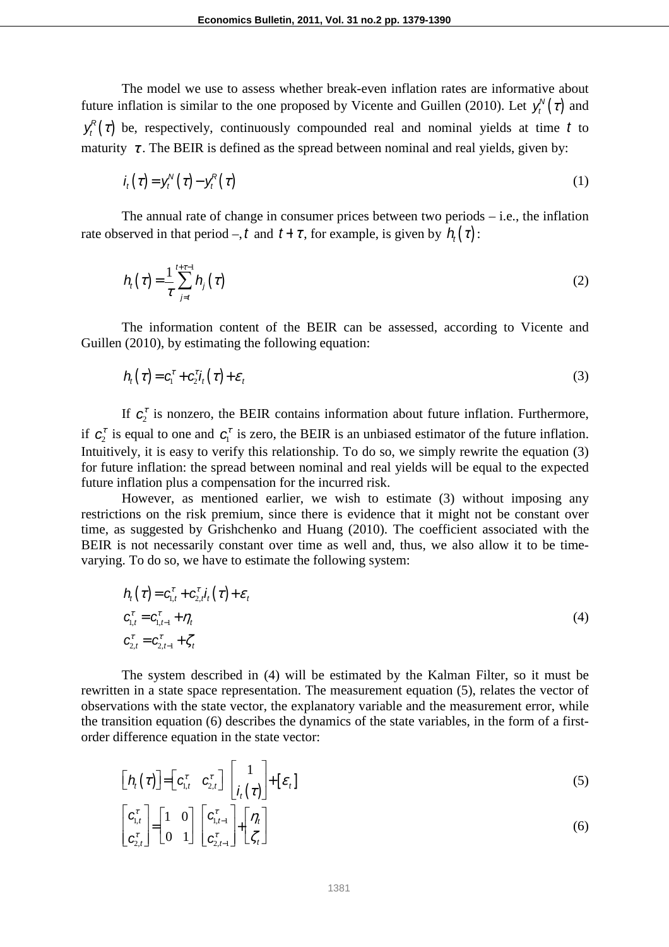The model we use to assess whether break-even inflation rates are informative about future inflation is similar to the one proposed by Vicente and Guillen (2010). Let  $y_t^N(\tau)$  and  $y_t^R(\tau)$  be, respectively, continuously compounded real and nominal yields at time t to maturity  $\tau$ . The BEIR is defined as the spread between nominal and real yields, given by:

$$
i_t(\tau) = y_t^N(\tau) - y_t^R(\tau) \tag{1}
$$

The annual rate of change in consumer prices between two periods  $-$  i.e., the inflation rate observed in that period –, t and  $t + \tau$ , for example, is given by  $h_t(\tau)$ :

$$
h_{i}(\tau) = \frac{1}{\tau} \sum_{j=t}^{t+\tau-1} h_{j}(\tau)
$$
 (2)

The information content of the BEIR can be assessed, according to Vicente and Guillen (2010), by estimating the following equation:

$$
h_t(\tau) = c_1^{\tau} + c_2^{\tau} i_t(\tau) + \varepsilon_t
$$
\n(3)

If  $c_2^r$  is nonzero, the BEIR contains information about future inflation. Furthermore, if  $c_2^r$  is equal to one and  $c_1^r$  is zero, the BEIR is an unbiased estimator of the future inflation. Intuitively, it is easy to verify this relationship. To do so, we simply rewrite the equation (3) for future inflation: the spread between nominal and real yields will be equal to the expected future inflation plus a compensation for the incurred risk.

However, as mentioned earlier, we wish to estimate (3) without imposing any restrictions on the risk premium, since there is evidence that it might not be constant over time, as suggested by Grishchenko and Huang (2010). The coefficient associated with the BEIR is not necessarily constant over time as well and, thus, we also allow it to be timevarying. To do so, we have to estimate the following system:

$$
h_t(\tau) = c_{1,t}^{\tau} + c_{2,t}^{\tau} i_t(\tau) + \varepsilon_t
$$
  
\n
$$
c_{1,t}^{\tau} = c_{1,t-1}^{\tau} + \eta_t
$$
  
\n
$$
c_{2,t}^{\tau} = c_{2,t-1}^{\tau} + \zeta_t
$$
\n(4)

The system described in (4) will be estimated by the Kalman Filter, so it must be rewritten in a state space representation. The measurement equation (5), relates the vector of observations with the state vector, the explanatory variable and the measurement error, while the transition equation (6) describes the dynamics of the state variables, in the form of a firstorder difference equation in the state vector:

$$
\begin{bmatrix}\n\boldsymbol{\eta}_t(\tau)\n\end{bmatrix} = \begin{bmatrix}\nc_{1,t}^{\tau} & c_{2,t}^{\tau}\n\end{bmatrix} \begin{bmatrix}\n1 \\
i_t(\tau)\n\end{bmatrix} + [\varepsilon_t] \tag{5}
$$
\n
$$
\begin{bmatrix}\nc_{1,t}^{\tau} \\
c_{2,t}^{\tau}\n\end{bmatrix} = \begin{bmatrix}\n1 & 0 \\
0 & 1\n\end{bmatrix} \begin{bmatrix}\nc_{1,t-1}^{\tau} \\
c_{2,t-1}^{\tau}\n\end{bmatrix} + \begin{bmatrix}\n\eta_t \\
\zeta_t\n\end{bmatrix} \tag{6}
$$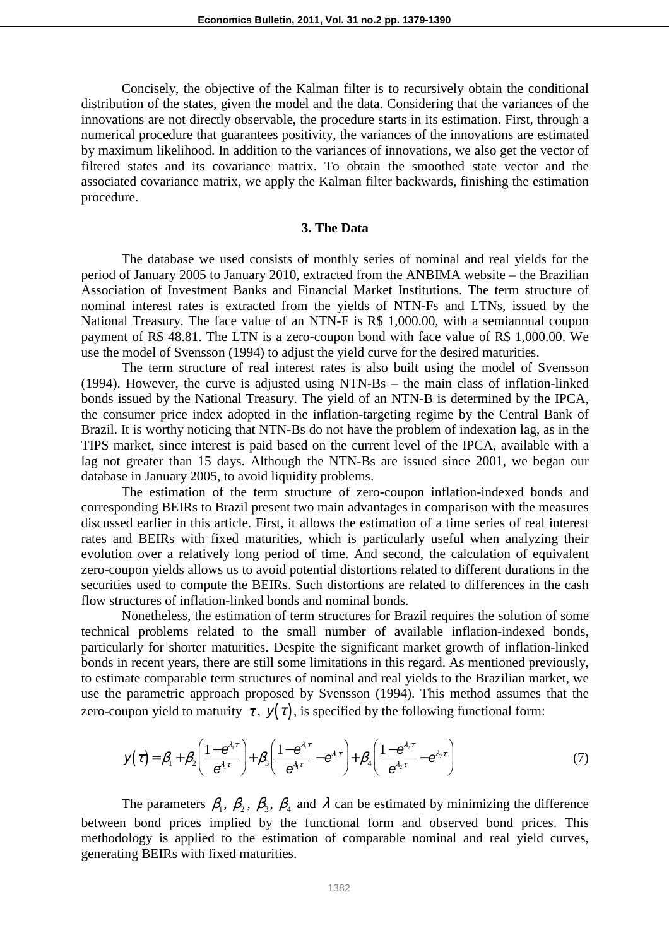Concisely, the objective of the Kalman filter is to recursively obtain the conditional distribution of the states, given the model and the data. Considering that the variances of the innovations are not directly observable, the procedure starts in its estimation. First, through a numerical procedure that guarantees positivity, the variances of the innovations are estimated by maximum likelihood. In addition to the variances of innovations, we also get the vector of filtered states and its covariance matrix. To obtain the smoothed state vector and the associated covariance matrix, we apply the Kalman filter backwards, finishing the estimation procedure.

# **3. The Data**

The database we used consists of monthly series of nominal and real yields for the period of January 2005 to January 2010, extracted from the ANBIMA website – the Brazilian Association of Investment Banks and Financial Market Institutions. The term structure of nominal interest rates is extracted from the yields of NTN-Fs and LTNs, issued by the National Treasury. The face value of an NTN-F is R\$ 1,000.00, with a semiannual coupon payment of R\$ 48.81. The LTN is a zero-coupon bond with face value of R\$ 1,000.00. We use the model of Svensson (1994) to adjust the yield curve for the desired maturities.

The term structure of real interest rates is also built using the model of Svensson (1994). However, the curve is adjusted using NTN-Bs – the main class of inflation-linked bonds issued by the National Treasury. The yield of an NTN-B is determined by the IPCA, the consumer price index adopted in the inflation-targeting regime by the Central Bank of Brazil. It is worthy noticing that NTN-Bs do not have the problem of indexation lag, as in the TIPS market, since interest is paid based on the current level of the IPCA, available with a lag not greater than 15 days. Although the NTN-Bs are issued since 2001, we began our database in January 2005, to avoid liquidity problems.

The estimation of the term structure of zero-coupon inflation-indexed bonds and corresponding BEIRs to Brazil present two main advantages in comparison with the measures discussed earlier in this article. First, it allows the estimation of a time series of real interest rates and BEIRs with fixed maturities, which is particularly useful when analyzing their evolution over a relatively long period of time. And second, the calculation of equivalent zero-coupon yields allows us to avoid potential distortions related to different durations in the securities used to compute the BEIRs. Such distortions are related to differences in the cash flow structures of inflation-linked bonds and nominal bonds.

Nonetheless, the estimation of term structures for Brazil requires the solution of some technical problems related to the small number of available inflation-indexed bonds, particularly for shorter maturities. Despite the significant market growth of inflation-linked bonds in recent years, there are still some limitations in this regard. As mentioned previously, to estimate comparable term structures of nominal and real yields to the Brazilian market, we use the parametric approach proposed by Svensson (1994). This method assumes that the zero-coupon yield to maturity  $\tau$ ,  $\gamma(\tau)$ , is specified by the following functional form:

$$
y(\tau) = \beta_1 + \beta_2 \left( \frac{1 - e^{\lambda_1 \tau}}{e^{\lambda_1 \tau}} \right) + \beta_3 \left( \frac{1 - e^{\lambda_1 \tau}}{e^{\lambda_1 \tau}} - e^{\lambda_1 \tau} \right) + \beta_4 \left( \frac{1 - e^{\lambda_2 \tau}}{e^{\lambda_2 \tau}} - e^{\lambda_2 \tau} \right)
$$
(7)

The parameters  $\beta_1$ ,  $\beta_2$ ,  $\beta_3$ ,  $\beta_4$  and  $\lambda$  can be estimated by minimizing the difference between bond prices implied by the functional form and observed bond prices. This methodology is applied to the estimation of comparable nominal and real yield curves, generating BEIRs with fixed maturities.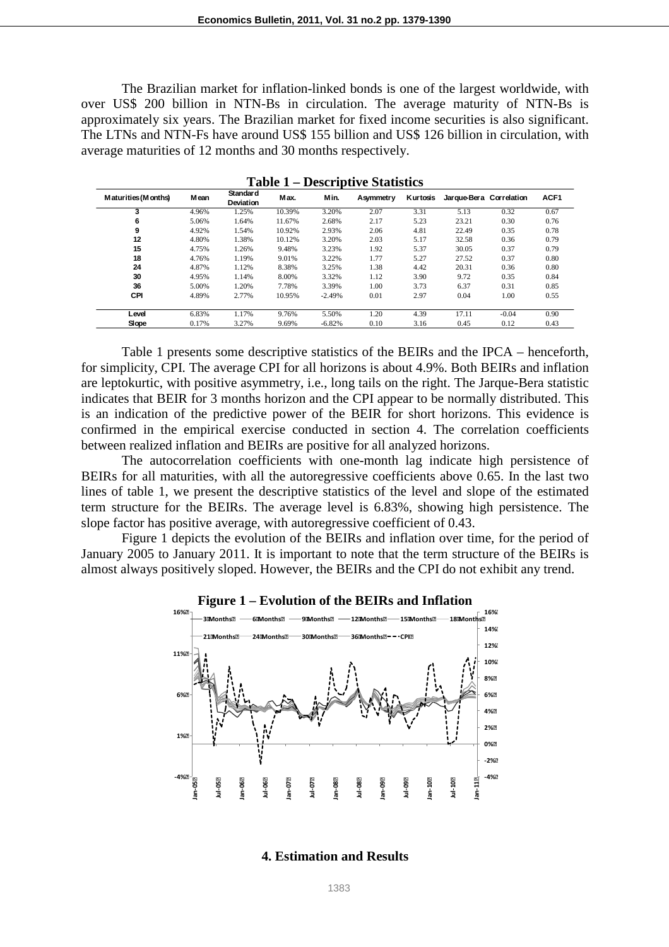The Brazilian market for inflation-linked bonds is one of the largest worldwide, with over US\$ 200 billion in NTN-Bs in circulation. The average maturity of NTN-Bs is approximately six years. The Brazilian market for fixed income securities is also significant. The LTNs and NTN-Fs have around US\$ 155 billion and US\$ 126 billion in circulation, with average maturities of 12 months and 30 months respectively.

| Maturities (Months) | Mean  | <b>Standard</b><br>Deviation | Max.   | Min.     | Asymmetry | Kurtosis | Jarque-Bera Correlation |         | ACF <sub>1</sub> |
|---------------------|-------|------------------------------|--------|----------|-----------|----------|-------------------------|---------|------------------|
| 3                   | 4.96% | 1.25%                        | 10.39% | 3.20%    | 2.07      | 3.31     | 5.13                    | 0.32    | 0.67             |
| 6                   | 5.06% | 1.64%                        | 11.67% | 2.68%    | 2.17      | 5.23     | 23.21                   | 0.30    | 0.76             |
| 9                   | 4.92% | 1.54%                        | 10.92% | 2.93%    | 2.06      | 4.81     | 22.49                   | 0.35    | 0.78             |
| 12                  | 4.80% | 1.38%                        | 10.12% | 3.20%    | 2.03      | 5.17     | 32.58                   | 0.36    | 0.79             |
| 15                  | 4.75% | 1.26%                        | 9.48%  | 3.23%    | 1.92      | 5.37     | 30.05                   | 0.37    | 0.79             |
| 18                  | 4.76% | 1.19%                        | 9.01%  | 3.22%    | 1.77      | 5.27     | 27.52                   | 0.37    | 0.80             |
| 24                  | 4.87% | 1.12%                        | 8.38%  | 3.25%    | 1.38      | 4.42     | 20.31                   | 0.36    | 0.80             |
| 30                  | 4.95% | 1.14%                        | 8.00%  | 3.32%    | 1.12      | 3.90     | 9.72                    | 0.35    | 0.84             |
| 36                  | 5.00% | 1.20%                        | 7.78%  | 3.39%    | 1.00      | 3.73     | 6.37                    | 0.31    | 0.85             |
| <b>CPI</b>          | 4.89% | 2.77%                        | 10.95% | $-2.49%$ | 0.01      | 2.97     | 0.04                    | 1.00    | 0.55             |
| Level               | 6.83% | 1.17%                        | 9.76%  | 5.50%    | 1.20      | 4.39     | 17.11                   | $-0.04$ | 0.90             |
| Slope               | 0.17% | 3.27%                        | 9.69%  | $-6.82%$ | 0.10      | 3.16     | 0.45                    | 0.12    | 0.43             |

**Table 1 – Descriptive Statistics** 

Table 1 presents some descriptive statistics of the BEIRs and the IPCA – henceforth, for simplicity, CPI. The average CPI for all horizons is about 4.9%. Both BEIRs and inflation are leptokurtic, with positive asymmetry, i.e., long tails on the right. The Jarque-Bera statistic indicates that BEIR for 3 months horizon and the CPI appear to be normally distributed. This is an indication of the predictive power of the BEIR for short horizons. This evidence is confirmed in the empirical exercise conducted in section 4. The correlation coefficients between realized inflation and BEIRs are positive for all analyzed horizons.

The autocorrelation coefficients with one-month lag indicate high persistence of BEIRs for all maturities, with all the autoregressive coefficients above 0.65. In the last two lines of table 1, we present the descriptive statistics of the level and slope of the estimated term structure for the BEIRs. The average level is 6.83%, showing high persistence. The slope factor has positive average, with autoregressive coefficient of 0.43.

Figure 1 depicts the evolution of the BEIRs and inflation over time, for the period of January 2005 to January 2011. It is important to note that the term structure of the BEIRs is almost always positively sloped. However, the BEIRs and the CPI do not exhibit any trend.





## **4. Estimation and Results**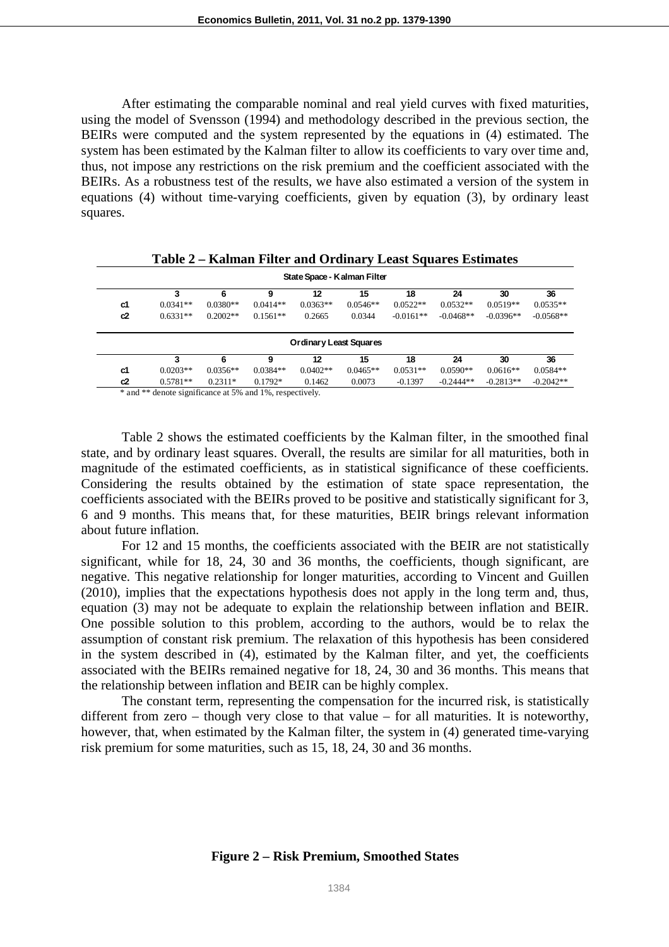After estimating the comparable nominal and real yield curves with fixed maturities, using the model of Svensson (1994) and methodology described in the previous section, the BEIRs were computed and the system represented by the equations in (4) estimated. The system has been estimated by the Kalman filter to allow its coefficients to vary over time and, thus, not impose any restrictions on the risk premium and the coefficient associated with the BEIRs. As a robustness test of the results, we have also estimated a version of the system in equations (4) without time-varying coefficients, given by equation (3), by ordinary least squares.

| State Space - Kalman Filter |            |            |            |                        |            |             |             |             |             |  |
|-----------------------------|------------|------------|------------|------------------------|------------|-------------|-------------|-------------|-------------|--|
|                             | 3          | 6          | 9          | 12                     | 15         | 18          | 24          | 30          | 36          |  |
| c1                          | $0.0341**$ | $0.0380**$ | $0.0414**$ | $0.0363**$             | $0.0546**$ | $0.0522**$  | $0.0532**$  | $0.0519**$  | $0.0535**$  |  |
| c2                          | $0.6331**$ | $0.2002**$ | $0.1561**$ | 0.2665                 | 0.0344     | $-0.0161**$ | $-0.0468**$ | $-0.0396**$ | $-0.0568**$ |  |
|                             |            |            |            | Ordinary Least Squares |            |             |             |             |             |  |
|                             | 3          | 6          | 9          | 12                     | 15         | 18          | 24          | 30          | 36          |  |
| c1                          | $0.0203**$ | $0.0356**$ | $0.0384**$ | $0.0402**$             | $0.0465**$ | $0.0531**$  | $0.0590**$  | $0.0616**$  | $0.0584**$  |  |
|                             |            |            |            |                        |            |             |             |             |             |  |

\* and \*\* denote significance at 5% and 1%, respectively.

Table 2 shows the estimated coefficients by the Kalman filter, in the smoothed final state, and by ordinary least squares. Overall, the results are similar for all maturities, both in magnitude of the estimated coefficients, as in statistical significance of these coefficients. Considering the results obtained by the estimation of state space representation, the coefficients associated with the BEIRs proved to be positive and statistically significant for 3, 6 and 9 months. This means that, for these maturities, BEIR brings relevant information about future inflation.

For 12 and 15 months, the coefficients associated with the BEIR are not statistically significant, while for 18, 24, 30 and 36 months, the coefficients, though significant, are negative. This negative relationship for longer maturities, according to Vincent and Guillen (2010), implies that the expectations hypothesis does not apply in the long term and, thus, equation (3) may not be adequate to explain the relationship between inflation and BEIR. One possible solution to this problem, according to the authors, would be to relax the assumption of constant risk premium. The relaxation of this hypothesis has been considered in the system described in (4), estimated by the Kalman filter, and yet, the coefficients associated with the BEIRs remained negative for 18, 24, 30 and 36 months. This means that the relationship between inflation and BEIR can be highly complex.

The constant term, representing the compensation for the incurred risk, is statistically different from zero – though very close to that value – for all maturities. It is noteworthy, however, that, when estimated by the Kalman filter, the system in (4) generated time-varying risk premium for some maturities, such as 15, 18, 24, 30 and 36 months.

#### **Figure 2 – Risk Premium, Smoothed States**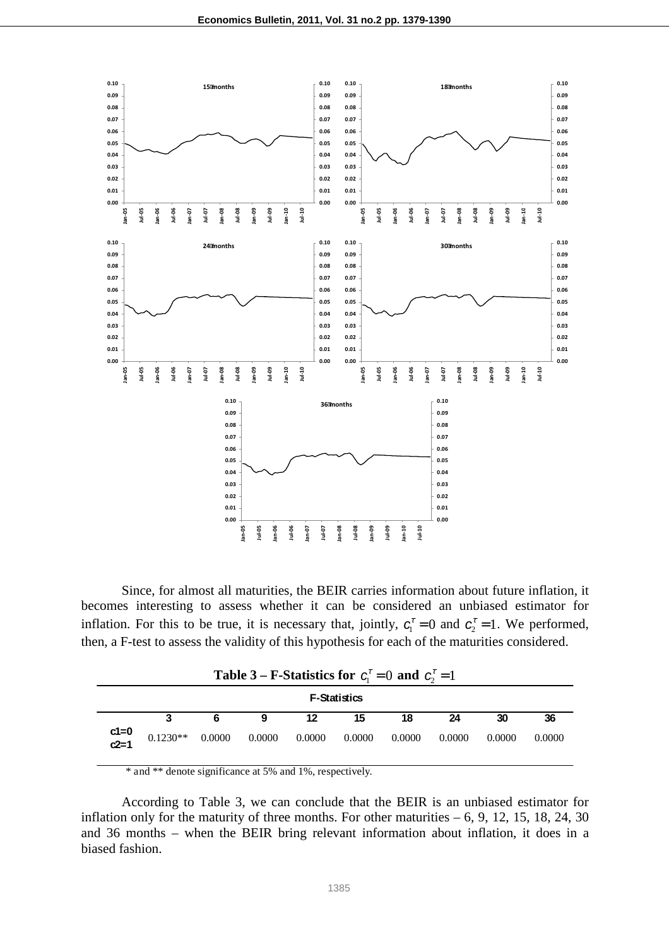

Since, for almost all maturities, the BEIR carries information about future inflation, it becomes interesting to assess whether it can be considered an unbiased estimator for inflation. For this to be true, it is necessary that, jointly,  $c_1^r = 0$  and  $c_2^r = 1$ . We performed, then, a F-test to assess the validity of this hypothesis for each of the maturities considered.

| <b>F-Statistics</b> |                                       |   |   |    |        |        |        |        |        |  |
|---------------------|---------------------------------------|---|---|----|--------|--------|--------|--------|--------|--|
|                     | 3                                     | 6 | 9 | 12 | 15     | 18     | 24     | 30     | 36     |  |
| $c1=0$<br>$c2=1$    | $0.1230**$ $0.0000$ $0.0000$ $0.0000$ |   |   |    | 0.0000 | 0.0000 | 0.0000 | 0.0000 | 0.0000 |  |

\* and \*\* denote significance at 5% and 1%, respectively.

According to Table 3, we can conclude that the BEIR is an unbiased estimator for inflation only for the maturity of three months. For other maturities  $-6$ , 9, 12, 15, 18, 24, 30 and 36 months – when the BEIR bring relevant information about inflation, it does in a biased fashion.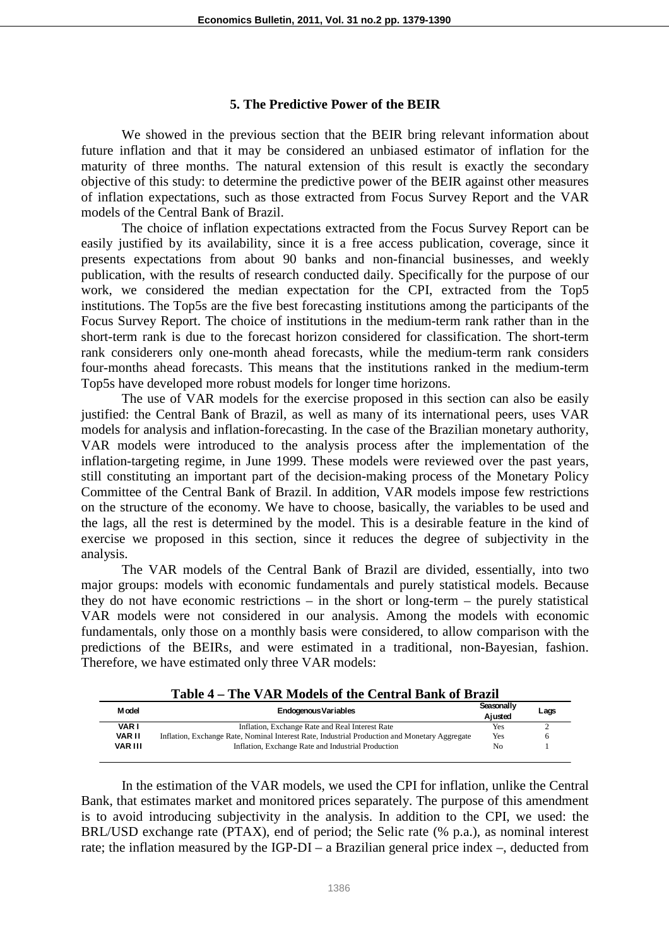#### **5. The Predictive Power of the BEIR**

We showed in the previous section that the BEIR bring relevant information about future inflation and that it may be considered an unbiased estimator of inflation for the maturity of three months. The natural extension of this result is exactly the secondary objective of this study: to determine the predictive power of the BEIR against other measures of inflation expectations, such as those extracted from Focus Survey Report and the VAR models of the Central Bank of Brazil.

The choice of inflation expectations extracted from the Focus Survey Report can be easily justified by its availability, since it is a free access publication, coverage, since it presents expectations from about 90 banks and non-financial businesses, and weekly publication, with the results of research conducted daily. Specifically for the purpose of our work, we considered the median expectation for the CPI, extracted from the Top5 institutions. The Top5s are the five best forecasting institutions among the participants of the Focus Survey Report. The choice of institutions in the medium-term rank rather than in the short-term rank is due to the forecast horizon considered for classification. The short-term rank considerers only one-month ahead forecasts, while the medium-term rank considers four-months ahead forecasts. This means that the institutions ranked in the medium-term Top5s have developed more robust models for longer time horizons.

 The use of VAR models for the exercise proposed in this section can also be easily justified: the Central Bank of Brazil, as well as many of its international peers, uses VAR models for analysis and inflation-forecasting. In the case of the Brazilian monetary authority, VAR models were introduced to the analysis process after the implementation of the inflation-targeting regime, in June 1999. These models were reviewed over the past years, still constituting an important part of the decision-making process of the Monetary Policy Committee of the Central Bank of Brazil. In addition, VAR models impose few restrictions on the structure of the economy. We have to choose, basically, the variables to be used and the lags, all the rest is determined by the model. This is a desirable feature in the kind of exercise we proposed in this section, since it reduces the degree of subjectivity in the analysis.

The VAR models of the Central Bank of Brazil are divided, essentially, into two major groups: models with economic fundamentals and purely statistical models. Because they do not have economic restrictions – in the short or long-term – the purely statistical VAR models were not considered in our analysis. Among the models with economic fundamentals, only those on a monthly basis were considered, to allow comparison with the predictions of the BEIRs, and were estimated in a traditional, non-Bayesian, fashion. Therefore, we have estimated only three VAR models:

| M odel         | <b>Endogenous Variables</b>                                                                   | Seasonally<br>Aiusted | Lags |
|----------------|-----------------------------------------------------------------------------------------------|-----------------------|------|
| <b>VARI</b>    | Inflation, Exchange Rate and Real Interest Rate                                               | Yes                   |      |
| VAR II         | Inflation, Exchange Rate, Nominal Interest Rate, Industrial Production and Monetary Aggregate | Yes                   |      |
| <b>VAR III</b> | Inflation, Exchange Rate and Industrial Production                                            | No                    |      |

| Table 4 – The VAR Models of the Central Bank of Brazil |  |  |  |  |  |  |  |
|--------------------------------------------------------|--|--|--|--|--|--|--|
|--------------------------------------------------------|--|--|--|--|--|--|--|

In the estimation of the VAR models, we used the CPI for inflation, unlike the Central Bank, that estimates market and monitored prices separately. The purpose of this amendment is to avoid introducing subjectivity in the analysis. In addition to the CPI, we used: the BRL/USD exchange rate (PTAX), end of period; the Selic rate (% p.a.), as nominal interest rate; the inflation measured by the IGP-DI – a Brazilian general price index –, deducted from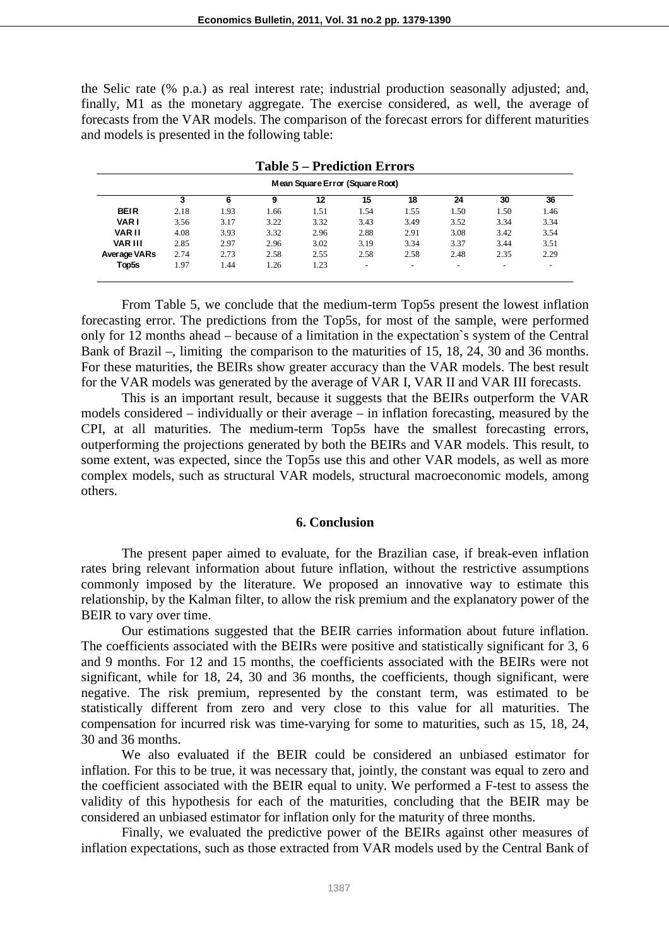the Selic rate (% p.a.) as real interest rate; industrial production seasonally adjusted; and, finally, M1 as the monetary aggregate. The exercise considered, as well, the average of forecasts from the VAR models. The comparison of the forecast errors for different maturities and models is presented in the following table:

| Mean Square Error (Square Root) |      |      |      |      |                          |      |      |      |      |  |  |
|---------------------------------|------|------|------|------|--------------------------|------|------|------|------|--|--|
|                                 |      | 6    | 9    | 12   | 15                       | 18   | 24   | 30   | 36   |  |  |
| <b>BEIR</b>                     | 2.18 | 1.93 | 1.66 | 1.51 | 1.54                     | 1.55 | 1.50 | 1.50 | 1.46 |  |  |
| <b>VARI</b>                     | 3.56 | 3.17 | 3.22 | 3.32 | 3.43                     | 3.49 | 3.52 | 3.34 | 3.34 |  |  |
| <b>VAR II</b>                   | 4.08 | 3.93 | 3.32 | 2.96 | 2.88                     | 2.91 | 3.08 | 3.42 | 3.54 |  |  |
| <b>VAR III</b>                  | 2.85 | 2.97 | 2.96 | 3.02 | 3.19                     | 3.34 | 3.37 | 3.44 | 3.51 |  |  |
| Average VARs                    | 2.74 | 2.73 | 2.58 | 2.55 | 2.58                     | 2.58 | 2.48 | 2.35 | 2.29 |  |  |
| Top5s                           | 1.97 | 1.44 | 1.26 | 1.23 | $\overline{\phantom{0}}$ |      |      |      |      |  |  |

**Table 5 – Prediction Errors**

From Table 5, we conclude that the medium-term Top5s present the lowest inflation forecasting error. The predictions from the Top5s, for most of the sample, were performed only for 12 months ahead – because of a limitation in the expectation`s system of the Central Bank of Brazil –, limiting the comparison to the maturities of 15, 18, 24, 30 and 36 months. For these maturities, the BEIRs show greater accuracy than the VAR models. The best result for the VAR models was generated by the average of VAR I, VAR II and VAR III forecasts.

This is an important result, because it suggests that the BEIRs outperform the VAR models considered – individually or their average – in inflation forecasting, measured by the CPI, at all maturities. The medium-term Top5s have the smallest forecasting errors, outperforming the projections generated by both the BEIRs and VAR models. This result, to some extent, was expected, since the Top5s use this and other VAR models, as well as more complex models, such as structural VAR models, structural macroeconomic models, among others.

# **6. Conclusion**

The present paper aimed to evaluate, for the Brazilian case, if break-even inflation rates bring relevant information about future inflation, without the restrictive assumptions commonly imposed by the literature. We proposed an innovative way to estimate this relationship, by the Kalman filter, to allow the risk premium and the explanatory power of the BEIR to vary over time.

Our estimations suggested that the BEIR carries information about future inflation. The coefficients associated with the BEIRs were positive and statistically significant for 3, 6 and 9 months. For 12 and 15 months, the coefficients associated with the BEIRs were not significant, while for 18, 24, 30 and 36 months, the coefficients, though significant, were negative. The risk premium, represented by the constant term, was estimated to be statistically different from zero and very close to this value for all maturities. The compensation for incurred risk was time-varying for some to maturities, such as 15, 18, 24, 30 and 36 months.

We also evaluated if the BEIR could be considered an unbiased estimator for inflation. For this to be true, it was necessary that, jointly, the constant was equal to zero and the coefficient associated with the BEIR equal to unity. We performed a F-test to assess the validity of this hypothesis for each of the maturities, concluding that the BEIR may be considered an unbiased estimator for inflation only for the maturity of three months.

Finally, we evaluated the predictive power of the BEIRs against other measures of inflation expectations, such as those extracted from VAR models used by the Central Bank of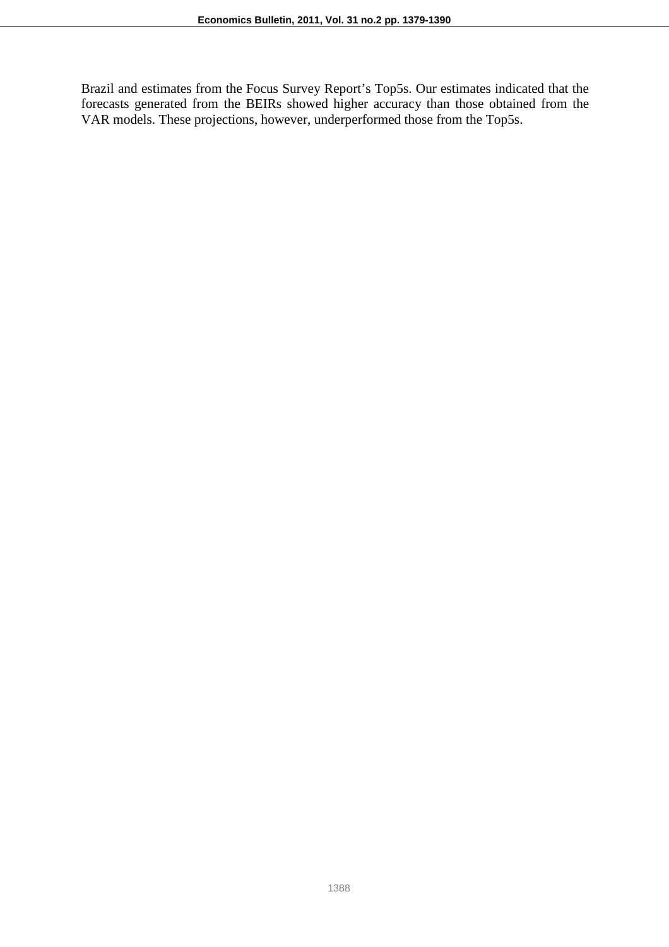Brazil and estimates from the Focus Survey Report's Top5s. Our estimates indicated that the forecasts generated from the BEIRs showed higher accuracy than those obtained from the VAR models. These projections, however, underperformed those from the Top5s.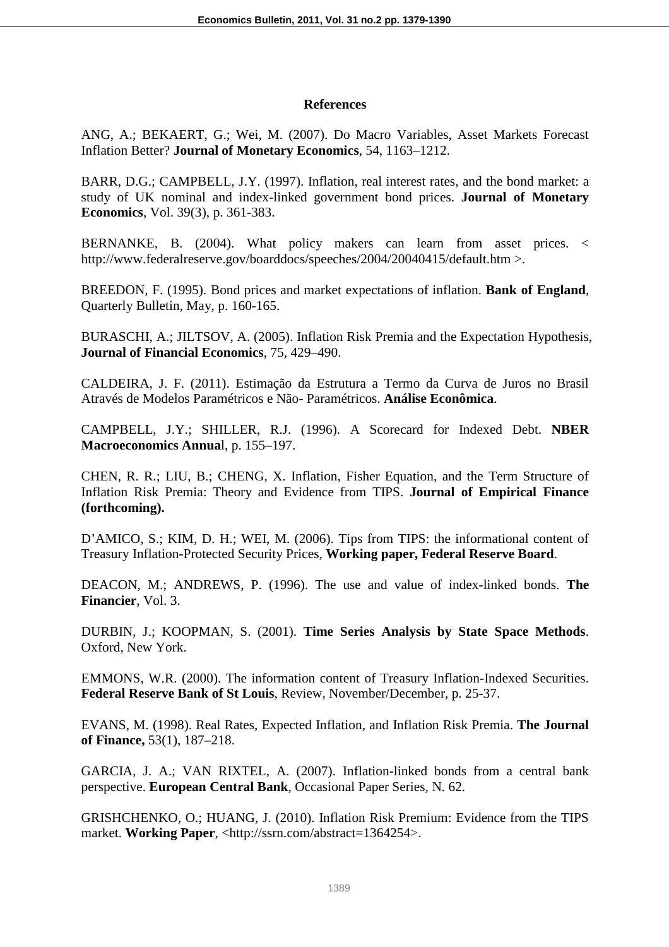# **References**

ANG, A.; BEKAERT, G.; Wei, M. (2007). Do Macro Variables, Asset Markets Forecast Inflation Better? **Journal of Monetary Economics**, 54, 1163–1212.

BARR, D.G.; CAMPBELL, J.Y. (1997). Inflation, real interest rates, and the bond market: a study of UK nominal and index-linked government bond prices. **Journal of Monetary Economics**, Vol. 39(3), p. 361-383.

BERNANKE, B. (2004). What policy makers can learn from asset prices. < http://www.federalreserve.gov/boarddocs/speeches/2004/20040415/default.htm >.

BREEDON, F. (1995). Bond prices and market expectations of inflation. **Bank of England**, Quarterly Bulletin, May, p. 160-165.

BURASCHI, A.; JILTSOV, A. (2005). Inflation Risk Premia and the Expectation Hypothesis, **Journal of Financial Economics**, 75, 429–490.

CALDEIRA, J. F. (2011). Estimação da Estrutura a Termo da Curva de Juros no Brasil Através de Modelos Paramétricos e Não- Paramétricos. **Análise Econômica**.

CAMPBELL, J.Y.; SHILLER, R.J. (1996). A Scorecard for Indexed Debt. **NBER Macroeconomics Annua**l, p. 155–197.

CHEN, R. R.; LIU, B.; CHENG, X. Inflation, Fisher Equation, and the Term Structure of Inflation Risk Premia: Theory and Evidence from TIPS. **Journal of Empirical Finance (forthcoming).** 

D'AMICO, S.; KIM, D. H.; WEI, M. (2006). Tips from TIPS: the informational content of Treasury Inflation-Protected Security Prices, **Working paper, Federal Reserve Board**.

DEACON, M.; ANDREWS, P. (1996). The use and value of index-linked bonds. **The Financier**, Vol. 3.

DURBIN, J.; KOOPMAN, S. (2001). **Time Series Analysis by State Space Methods**. Oxford, New York.

EMMONS, W.R. (2000). The information content of Treasury Inflation-Indexed Securities. **Federal Reserve Bank of St Louis**, Review, November/December, p. 25-37.

EVANS, M. (1998). Real Rates, Expected Inflation, and Inflation Risk Premia. **The Journal of Finance,** 53(1), 187–218.

GARCIA, J. A.; VAN RIXTEL, A. (2007). Inflation-linked bonds from a central bank perspective. **European Central Bank**, Occasional Paper Series, N. 62.

GRISHCHENKO, O.; HUANG, J. (2010). Inflation Risk Premium: Evidence from the TIPS market. **Working Paper**, <http://ssrn.com/abstract=1364254>.